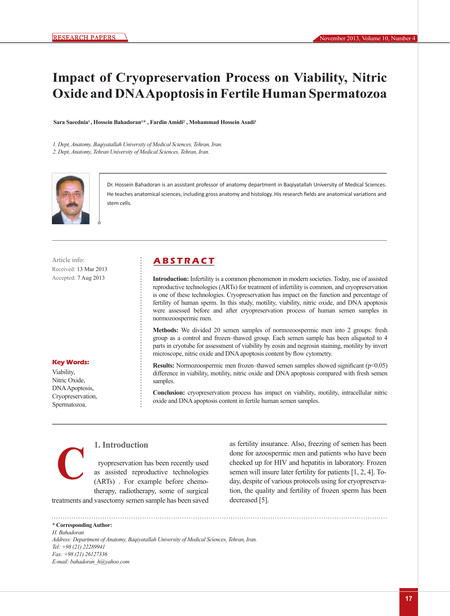# **Impact of Cryopreservation Process on Viability, Nitric Oxide and DNA Apoptosis in Fertile Human Spermatozoa**

Sara Saeednia<sup>1</sup>, Hossein Bahadoran<sup>1\*</sup>, Fardin Amidi<sup>2</sup>, Mohammad Hossein Asadi<sup>1</sup>

*1. Dept, Anatomy, Baqiyatallah University of Medical Sciences, Tehran, Iran. 2. Dept, Anatomy, Tehran University of Medical Sciences, Tehran, Iran.*



Dr. Hossein Bahadoran is an assistant professor of anatomy department in Baqiyatallah University of Medical Sciences. He teaches anatomical sciences, including gross anatomy and histology. His research fields are anatomical variations and stem cells.

Received: 13 Mar 2013 Accepted: 7 Aug 2013

## Article info: **ABSTRACT**

**Introduction:** Infertility is a common phenomenon in modern societies. Today, use of assisted reproductive technologies (ARTs) for treatment of infertility is common, and cryopreservation is one of these technologies. Cryopreservation has impact on the function and percentage of fertility of human sperm. In this study, motility, viability, nitric oxide, and DNA apoptosis were assessed before and after cryopreservation process of human semen samples in normozoospermic men.

**Methods:** We divided 20 semen samples of normozoospermic men into 2 groups: fresh group as a control and frozen–thawed group. Each semen sample has been aliquoted to 4 parts in cryotube for assessment of viability by eosin and negrosin staining, motility by invert microscope, nitric oxide and DNA apoptosis content by flow cytometry.

**Results:** Normozoospermic men frozen–thawed semen samples showed significant (p<0.05) difference in viability, motility, nitric oxide and DNA apoptosis compared with fresh semen samples.

**Conclusion:** cryopreservation process has impact on viability, motility, intracellular nitric oxide and DNA apoptosis content in fertile human semen samples.

#### **Key Words:**

Viability, Nitric Oxide, DNA Apoptosis, Cryopreservation, Spermatozoa.

**C**

## **1. Introduction**

ryopreservation has been recently used as assisted reproductive technologies (ARTs) . For example before chemotherapy, radiotherapy, some of surgical

treatments and vasectomy semen sample has been saved

as fertility insurance. Also, freezing of semen has been done for azoospermic men and patients who have been cheeked up for HIV and hepatitis in laboratory. Frozen semen will insure later fertility for patients [1, 2, 4]. Today, despite of various protocols using for cryopreservation, the quality and fertility of frozen sperm has been decreased [5].

**\* Corresponding Author:** *H. Bahadoran Address: Department of Anatomy, Baqiyatallah University of Medical Sciences, Tehran, Iran. Tel: +98 (21) 22289941 Fax: +98 (21) 26127336 E-mail: bahadoran\_h@yahoo.com*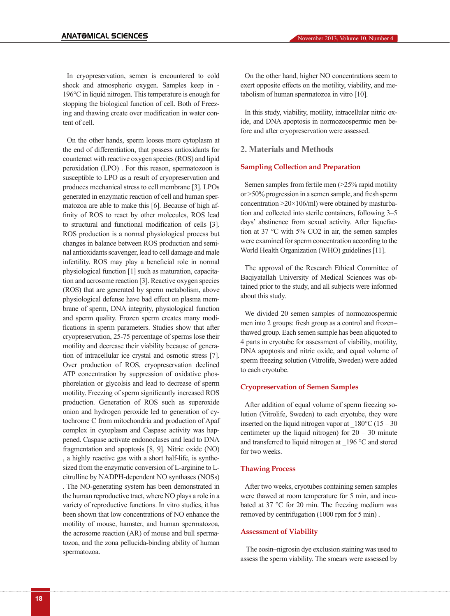In cryopreservation, semen is encountered to cold shock and atmospheric oxygen. Samples keep in - 196°C in liquid nitrogen. This temperature is enough for stopping the biological function of cell. Both of Freezing and thawing create over modification in water content of cell.

On the other hands, sperm looses more cytoplasm at the end of differentiation, that possess antioxidants for counteract with reactive oxygen species (ROS) and lipid peroxidation (LPO) . For this reason, spermatozoon is susceptible to LPO as a result of cryopreservation and produces mechanical stress to cell membrane [3]. LPOs generated in enzymatic reaction of cell and human spermatozoa are able to make this [6]. Because of high affinity of ROS to react by other molecules, ROS lead to structural and functional modification of cells [3]. ROS production is a normal physiological process but changes in balance between ROS production and seminal antioxidants scavenger, lead to cell damage and male infertility. ROS may play a beneficial role in normal physiological function [1] such as maturation, capacitation and acrosome reaction [3]. Reactive oxygen species (ROS) that are generated by sperm metabolism, above physiological defense have bad effect on plasma membrane of sperm, DNA integrity, physiological function and sperm quality. Frozen sperm creates many modifications in sperm parameters. Studies show that after cryopreservation, 25-75 percentage of sperms lose their motility and decrease their viability because of generation of intracellular ice crystal and osmotic stress [7]. Over production of ROS, cryopreservation declined ATP concentration by suppression of oxidative phosphorelation or glycolsis and lead to decrease of sperm motility. Freezing of sperm significantly increased ROS production. Generation of ROS such as superoxide onion and hydrogen peroxide led to generation of cytochrome C from mitochondria and production of Apaf complex in cytoplasm and Caspase activity was happened. Caspase activate endonoclases and lead to DNA fragmentation and apoptosis [8, 9]. Nitric oxide (NO) , a highly reactive gas with a short half-life, is synthesized from the enzymatic conversion of L-arginine to Lcitrulline by NADPH-dependent NO synthases (NOSs) . The NO-generating system has been demonstrated in the human reproductive tract, where NO plays a role in a variety of reproductive functions. In vitro studies, it has been shown that low concentrations of NO enhance the motility of mouse, hamster, and human spermatozoa, the acrosome reaction (AR) of mouse and bull spermatozoa, and the zona pellucida-binding ability of human spermatozoa.

On the other hand, higher NO concentrations seem to exert opposite effects on the motility, viability, and metabolism of human spermatozoa in vitro [10].

In this study, viability, motility, intracellular nitric oxide, and DNA apoptosis in normozoospermic men before and after cryopreservation were assessed.

## **2. Materials and Methods**

#### **Sampling Collection and Preparation**

Semen samples from fertile men (>25% rapid motility or >50% progression in a semen sample, and fresh sperm concentration  $>20\times106$ /ml) were obtained by masturbation and collected into sterile containers, following 3–5 days' abstinence from sexual activity. After liquefaction at 37 °C with 5% CO2 in air, the semen samples were examined for sperm concentration according to the World Health Organization (WHO) guidelines [11].

The approval of the Research Ethical Committee of Baqiyatallah University of Medical Sciences was obtained prior to the study, and all subjects were informed about this study.

We divided 20 semen samples of normozoospermic men into 2 groups: fresh group as a control and frozen– thawed group. Each semen sample has been aliquoted to 4 parts in cryotube for assessment of viability, motility, DNA apoptosis and nitric oxide, and equal volume of sperm freezing solution (Vitrolife, Sweden) were added to each cryotube.

#### **Cryopreservation of Semen Samples**

After addition of equal volume of sperm freezing solution (Vitrolife, Sweden) to each cryotube, they were inserted on the liquid nitrogen vapor at  $180^{\circ}$ C (15 – 30 centimeter up the liquid nitrogen) for  $20 - 30$  minute and transferred to liquid nitrogen at  $196 °C$  and stored for two weeks.

#### **Thawing Process**

After two weeks, cryotubes containing semen samples were thawed at room temperature for 5 min, and incubated at 37 °C for 20 min. The freezing medium was removed by centrifugation (1000 rpm for 5 min) .

#### **Assessment of Viability**

 The eosin–nigrosin dye exclusion staining was used to assess the sperm viability. The smears were assessed by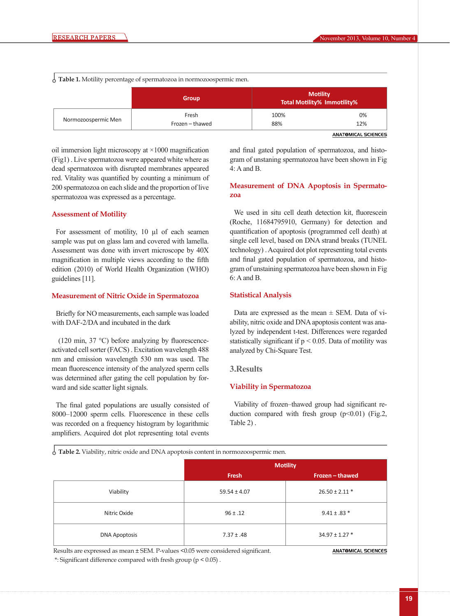**Table 1.** Motility percentage of spermatozoa in normozoospermic men.

|                     | <b>Group</b>    | <b>Motility</b><br><b>Total Motility% Immotility%</b> |     |
|---------------------|-----------------|-------------------------------------------------------|-----|
| Normozoospermic Men | Fresh           | 100%                                                  | 0%  |
|                     | Frozen - thawed | 88%                                                   | 12% |

**ANATOMICAL SCIENCES** 

oil immersion light microscopy at  $\times$ 1000 magnification (Fig1) . Live spermatozoa were appeared white where as dead spermatozoa with disrupted membranes appeared red. Vitality was quantified by counting a minimum of 200 spermatozoa on each slide and the proportion of live spermatozoa was expressed as a percentage.

#### **Assessment of Motility**

For assessment of motility, 10 µl of each seamen sample was put on glass lam and covered with lamella. Assessment was done with invert microscope by 40X magnification in multiple views according to the fifth edition (2010) of World Health Organization (WHO) guidelines [11].

#### **Measurement of Nitric Oxide in Spermatozoa**

Briefly for NO measurements, each sample was loaded with DAF-2/DA and incubated in the dark

 (120 min, 37 °C) before analyzing by fluorescenceactivated cell sorter (FACS) . Excitation wavelength 488 nm and emission wavelength 530 nm was used. The mean fluorescence intensity of the analyzed sperm cells was determined after gating the cell population by forward and side scatter light signals.

The final gated populations are usually consisted of 8000–12000 sperm cells. Fluorescence in these cells was recorded on a frequency histogram by logarithmic amplifiers. Acquired dot plot representing total events

and final gated population of spermatozoa, and histogram of unstaning spermatozoa have been shown in Fig 4: A and B.

### **Measurement of DNA Apoptosis in Spermatozoa**

We used in situ cell death detection kit, fluorescein (Roche, 11684795910, Germany) for detection and quantification of apoptosis (programmed cell death) at single cell level, based on DNA strand breaks (TUNEL technology) . Acquired dot plot representing total events and final gated population of spermatozoa, and histogram of unstaining spermatozoa have been shown in Fig 6: A and B.

#### **Statistical Analysis**

Data are expressed as the mean  $\pm$  SEM. Data of viability, nitric oxide and DNA apoptosis content was analyzed by independent t-test. Differences were regarded statistically significant if  $p < 0.05$ . Data of motility was analyzed by Chi-Square Test.

#### **3.Results**

#### **Viability in Spermatozoa**

Viability of frozen–thawed group had significant reduction compared with fresh group  $(p<0.01)$  (Fig.2, Table 2) .

**Table 2.** Viability, nitric oxide and DNA apoptosis content in normozoospermic men.

|                      | <b>Motility</b>  |                    |
|----------------------|------------------|--------------------|
|                      | Fresh            | Frozen - thawed    |
| Viability            | $59.54 \pm 4.07$ | $26.50 \pm 2.11$ * |
| Nitric Oxide         | $96 \pm .12$     | $9.41 \pm .83$ *   |
| <b>DNA Apoptosis</b> | $7.37 \pm .48$   | $34.97 \pm 1.27$ * |

Results are expressed as mean ± SEM. P-values <0.05 were considered significant. \*: Significant difference compared with fresh group (p < 0.05) .

**ANATOMICAL SCIENCES**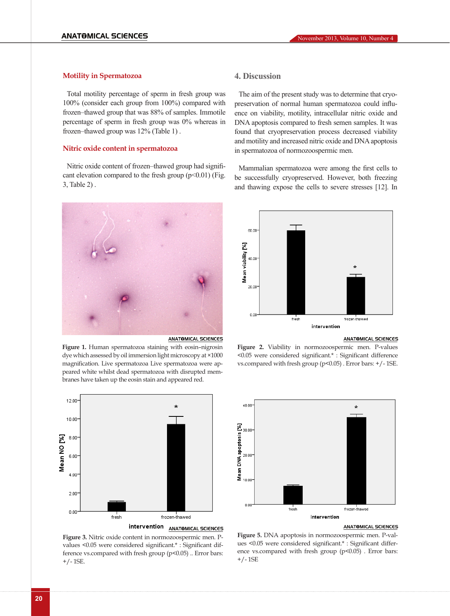## **Motility in Spermatozoa**

Total motility percentage of sperm in fresh group was 100% (consider each group from 100%) compared with frozen–thawed group that was 88% of samples. Immotile percentage of sperm in fresh group was 0% whereas in frozen–thawed group was 12% (Table 1) .

#### **Nitric oxide content in spermatozoa**

Nitric oxide content of frozen–thawed group had significant elevation compared to the fresh group  $(p<0.01)$  (Fig. 3, Table 2) .



**Figure 1.** Human spermatozoa staining with eosin–nigrosin dye which assessed by oil immersion light microscopy at ×1000 magnification. Live spermatozoa Live spermatozoa were appeared white whilst dead spermatozoa with disrupted mem-

branes have taken up the eosin stain and appeared red.



**Figure 3.** Nitric oxide content in normozoospermic men. Pvalues <0.05 were considered significant.\* : Significant difference vs.compared with fresh group (p<0.05) .. Error bars: +/- 1SE.

## **4. Discussion**

The aim of the present study was to determine that cryopreservation of normal human spermatozoa could influence on viability, motility, intracellular nitric oxide and DNA apoptosis compared to fresh semen samples. It was found that cryopreservation process decreased viability and motility and increased nitric oxide and DNA apoptosis in spermatozoa of normozoospermic men.

Mammalian spermatozoa were among the first cells to be successfully cryopreserved. However, both freezing and thawing expose the cells to severe stresses [12]. In



#### **ANATOMICAL SCIENCES**

**Figure 2.** Viability in normozoospermic men. P-values <0.05 were considered significant.\* : Significant difference vs.compared with fresh group (p<0.05) . Error bars: +/- 1SE.



#### **ANATOMICAL SCIENCES**

**Figure 5.** DNA apoptosis in normozoospermic men. P-values <0.05 were considered significant.\* : Significant difference vs.compared with fresh group (p<0.05). Error bars: +/- 1SE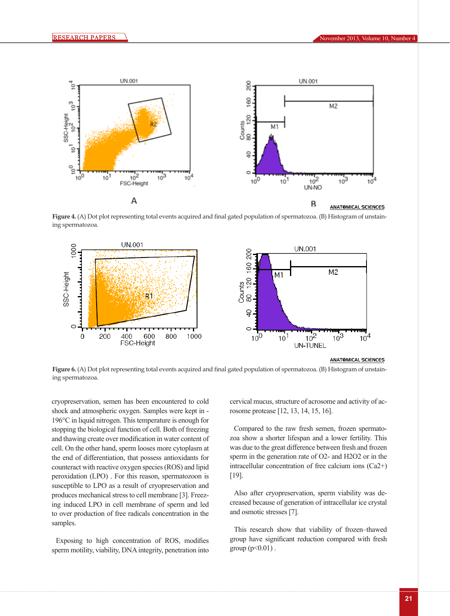

**Figure 4.** (A) Dot plot representing total events acquired and final gated population of spermatozoa. (B) Histogram of unstaining spermatozoa.



Figure 6. (A) Dot plot representing total events acquired and final gated population of spermatozoa. (B) Histogram of unstaining spermatozoa.

cryopreservation, semen has been encountered to cold shock and atmospheric oxygen. Samples were kept in - 196°C in liquid nitrogen. This temperature is enough for stopping the biological function of cell. Both of freezing and thawing create over modification in water content of cell. On the other hand, sperm looses more cytoplasm at the end of differentiation, that possess antioxidants for counteract with reactive oxygen species (ROS) and lipid peroxidation (LPO) . For this reason, spermatozoon is susceptible to LPO as a result of cryopreservation and produces mechanical stress to cell membrane [3]. Freezing induced LPO in cell membrane of sperm and led to over production of free radicals concentration in the samples.

Exposing to high concentration of ROS, modifies sperm motility, viability, DNA integrity, penetration into

cervical mucus, structure of acrosome and activity of acrosome protease [12, 13, 14, 15, 16].

Compared to the raw fresh semen, frozen spermatozoa show a shorter lifespan and a lower fertility. This was due to the great difference between fresh and frozen sperm in the generation rate of O2- and H2O2 or in the intracellular concentration of free calcium ions (Ca2+) [19].

Also after cryopreservation, sperm viability was decreased because of generation of intracellular ice crystal and osmotic stresses [7].

This research show that viability of frozen–thawed group have significant reduction compared with fresh group ( $p < 0.01$ ).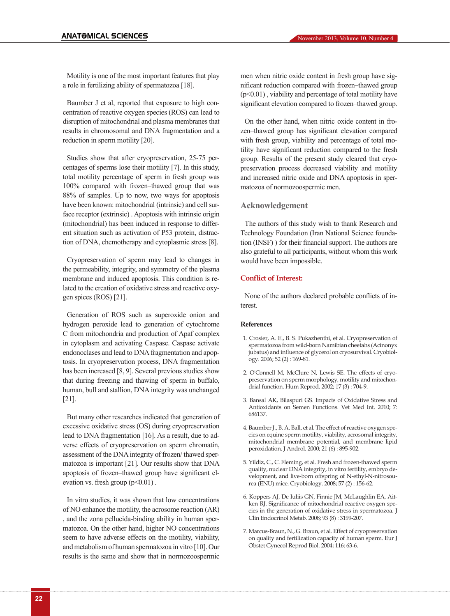Motility is one of the most important features that play a role in fertilizing ability of spermatozoa [18].

Baumber J et al, reported that exposure to high concentration of reactive oxygen species (ROS) can lead to disruption of mitochondrial and plasma membranes that results in chromosomal and DNA fragmentation and a reduction in sperm motility [20].

Studies show that after cryopreservation, 25-75 percentages of sperms lose their motility [7]. In this study, total motility percentage of sperm in fresh group was 100% compared with frozen–thawed group that was 88% of samples. Up to now, two ways for apoptosis have been known: mitochondrial (intrinsic) and cell surface receptor (extrinsic) . Apoptosis with intrinsic origin (mitochondrial) has been induced in response to different situation such as activation of P53 protein, distraction of DNA, chemotherapy and cytoplasmic stress [8].

Cryopreservation of sperm may lead to changes in the permeability, integrity, and symmetry of the plasma membrane and induced apoptosis. This condition is related to the creation of oxidative stress and reactive oxygen spices (ROS) [21].

Generation of ROS such as superoxide onion and hydrogen peroxide lead to generation of cytochrome C from mitochondria and production of Apaf complex in cytoplasm and activating Caspase. Caspase activate endonoclases and lead to DNA fragmentation and apoptosis. In cryopreservation process, DNA fragmentation has been increased [8, 9]. Several previous studies show that during freezing and thawing of sperm in buffalo, human, bull and stallion, DNA integrity was unchanged [21].

But many other researches indicated that generation of excessive oxidative stress (OS) during cryopreservation lead to DNA fragmentation [16]. As a result, due to adverse effects of cryopreservation on sperm chromatin, assessment of the DNA integrity of frozen/ thawed spermatozoa is important [21]. Our results show that DNA apoptosis of frozen–thawed group have significant elevation vs. fresh group  $(p<0.01)$ .

In vitro studies, it was shown that low concentrations of NO enhance the motility, the acrosome reaction (AR) , and the zona pellucida-binding ability in human spermatozoa. On the other hand, higher NO concentrations seem to have adverse effects on the motility, viability, and metabolism of human spermatozoa in vitro [10]. Our results is the same and show that in normozoospermic

men when nitric oxide content in fresh group have significant reduction compared with frozen–thawed group  $(p<0.01)$ , viability and percentage of total motility have significant elevation compared to frozen–thawed group.

On the other hand, when nitric oxide content in frozen–thawed group has significant elevation compared with fresh group, viability and percentage of total motility have significant reduction compared to the fresh group. Results of the present study cleared that cryopreservation process decreased viability and motility and increased nitric oxide and DNA apoptosis in spermatozoa of normozoospermic men.

### **Acknowledgement**

The authors of this study wish to thank Research and Technology Foundation (Iran National Science foundation (INSF) ) for their financial support. The authors are also grateful to all participants, without whom this work would have been impossible.

#### **Conflict of Interest:**

None of the authors declared probable conflicts of interest.

#### **References**

- 1. Crosier, A. E., B. S. Pukazhenthi, et al. Cryopreservation of spermatozoa from wild-born Namibian cheetahs (Acinonyx jubatus) and influence of glycerol on cryosurvival. Cryobiology. 2006; 52 (2) : 169-81.
- 2. O'Connell M, McClure N, Lewis SE. The effects of cryopreservation on sperm morphology, motility and mitochondrial function. Hum Reprod. 2002; 17 (3) : 704-9.
- 3. Bansal AK, Bilaspuri GS. Impacts of Oxidative Stress and Antioxidants on Semen Functions. Vet Med Int. 2010; 7: 686137.
- 4. Baumber J., B. A. Ball, et al. The effect of reactive oxygen species on equine sperm motility, viability, acrosomal integrity, mitochondrial membrane potential, and membrane lipid peroxidation. J Androl. 2000; 21 (6) : 895-902.
- 5. Yildiz, C., C. Fleming, et al. Fresh and frozen-thawed sperm quality, nuclear DNA integrity, in vitro fertility, embryo development, and live-born offspring of N-ethyl-N-nitrosourea (ENU) mice. Cryobiology. 2008; 57 (2) : 156-62.
- 6. Koppers AJ, De Iuliis GN, Finnie JM, McLaughlin EA, Aitken RJ. Significance of mitochondrial reactive oxygen species in the generation of oxidative stress in spermatozoa. J Clin Endocrinol Metab. 2008; 93 (8) : 3199-207.
- 7. Marcus-Braun, N., G. Braun, et al. Effect of cryopreservation on quality and fertilization capacity of human sperm. Eur J Obstet Gynecol Reprod Biol. 2004; 116: 63-6.